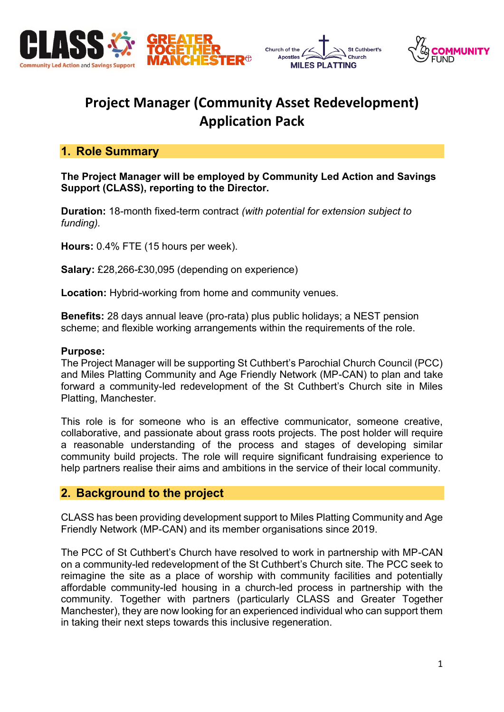





# **Project Manager (Community Asset Redevelopment) Application Pack**

# **1. Role Summary**

**The Project Manager will be employed by Community Led Action and Savings Support (CLASS), reporting to the Director.**

**Duration:** 18-month fixed-term contract *(with potential for extension subject to funding).*

**Hours:** 0.4% FTE (15 hours per week).

**Salary:** £28,266-£30,095 (depending on experience)

**Location:** Hybrid-working from home and community venues.

**Benefits:** 28 days annual leave (pro-rata) plus public holidays; a NEST pension scheme; and flexible working arrangements within the requirements of the role.

#### **Purpose:**

The Project Manager will be supporting St Cuthbert's Parochial Church Council (PCC) and Miles Platting Community and Age Friendly Network (MP-CAN) to plan and take forward a community-led redevelopment of the St Cuthbert's Church site in Miles Platting, Manchester.

This role is for someone who is an effective communicator, someone creative, collaborative, and passionate about grass roots projects. The post holder will require a reasonable understanding of the process and stages of developing similar community build projects. The role will require significant fundraising experience to help partners realise their aims and ambitions in the service of their local community.

## **2. Background to the project**

CLASS has been providing development support to Miles Platting Community and Age Friendly Network (MP-CAN) and its member organisations since 2019.

The PCC of St Cuthbert's Church have resolved to work in partnership with MP-CAN on a community-led redevelopment of the St Cuthbert's Church site. The PCC seek to reimagine the site as a place of worship with community facilities and potentially affordable community-led housing in a church-led process in partnership with the community. Together with partners (particularly CLASS and Greater Together Manchester), they are now looking for an experienced individual who can support them in taking their next steps towards this inclusive regeneration.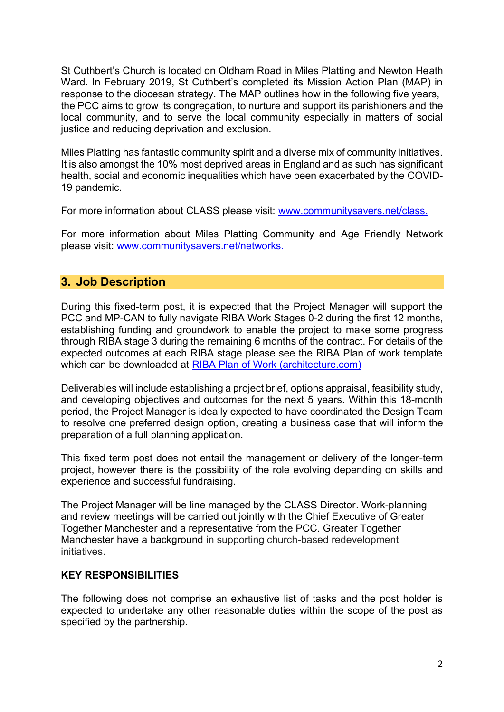St Cuthbert's Church is located on Oldham Road in Miles Platting and Newton Heath Ward. In February 2019, St Cuthbert's completed its Mission Action Plan (MAP) in response to the diocesan strategy. The MAP outlines how in the following five years, the PCC aims to grow its congregation, to nurture and support its parishioners and the local community, and to serve the local community especially in matters of social justice and reducing deprivation and exclusion.

Miles Platting has fantastic community spirit and a diverse mix of community initiatives. It is also amongst the 10% most deprived areas in England and as such has significant health, social and economic inequalities which have been exacerbated by the COVID-19 pandemic.

For more information about CLASS please visit: [www.communitysavers.net/class.](http://www.communitysavers.net/class)

For more information about Miles Platting Community and Age Friendly Network please visit: [www.communitysavers.net/networks.](http://www.communitysavers.net/networks)

# **3. Job Description**

During this fixed-term post, it is expected that the Project Manager will support the PCC and MP-CAN to fully navigate RIBA Work Stages 0-2 during the first 12 months, establishing funding and groundwork to enable the project to make some progress through RIBA stage 3 during the remaining 6 months of the contract. For details of the expected outcomes at each RIBA stage please see the RIBA Plan of work template which can be downloaded at [RIBA Plan of Work \(architecture.com\)](https://www.architecture.com/knowledge-and-resources/resources-landing-page/riba-plan-of-work)

Deliverables will include establishing a project brief, options appraisal, feasibility study, and developing objectives and outcomes for the next 5 years. Within this 18-month period, the Project Manager is ideally expected to have coordinated the Design Team to resolve one preferred design option, creating a business case that will inform the preparation of a full planning application.

This fixed term post does not entail the management or delivery of the longer-term project, however there is the possibility of the role evolving depending on skills and experience and successful fundraising.

The Project Manager will be line managed by the CLASS Director. Work-planning and review meetings will be carried out jointly with the Chief Executive of Greater Together Manchester and a representative from the PCC. Greater Together Manchester have a background in supporting church-based redevelopment initiatives.

#### **KEY RESPONSIBILITIES**

The following does not comprise an exhaustive list of tasks and the post holder is expected to undertake any other reasonable duties within the scope of the post as specified by the partnership.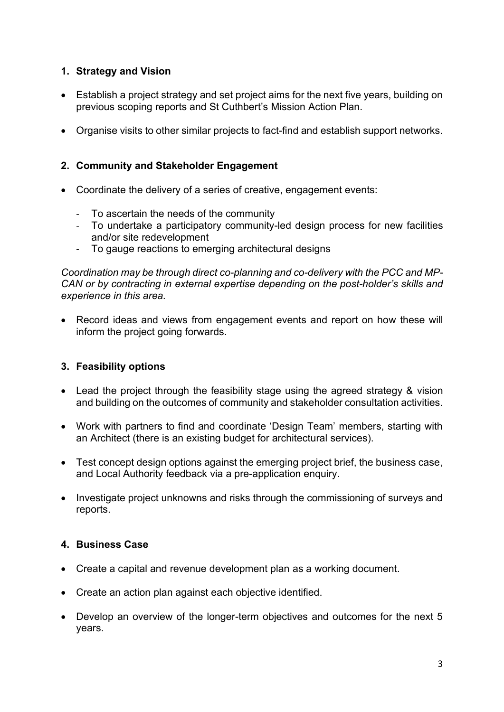## **1. Strategy and Vision**

- Establish a project strategy and set project aims for the next five years, building on previous scoping reports and St Cuthbert's Mission Action Plan.
- Organise visits to other similar projects to fact-find and establish support networks.

# **2. Community and Stakeholder Engagement**

- Coordinate the delivery of a series of creative, engagement events:
	- To ascertain the needs of the community
	- To undertake a participatory community-led design process for new facilities and/or site redevelopment
	- To gauge reactions to emerging architectural designs

*Coordination may be through direct co-planning and co-delivery with the PCC and MP-CAN or by contracting in external expertise depending on the post-holder's skills and experience in this area.*

• Record ideas and views from engagement events and report on how these will inform the project going forwards.

## **3. Feasibility options**

- Lead the project through the feasibility stage using the agreed strategy & vision and building on the outcomes of community and stakeholder consultation activities.
- Work with partners to find and coordinate 'Design Team' members, starting with an Architect (there is an existing budget for architectural services).
- Test concept design options against the emerging project brief, the business case, and Local Authority feedback via a pre-application enquiry.
- Investigate project unknowns and risks through the commissioning of surveys and reports.

## **4. Business Case**

- Create a capital and revenue development plan as a working document.
- Create an action plan against each objective identified.
- Develop an overview of the longer-term objectives and outcomes for the next 5 years.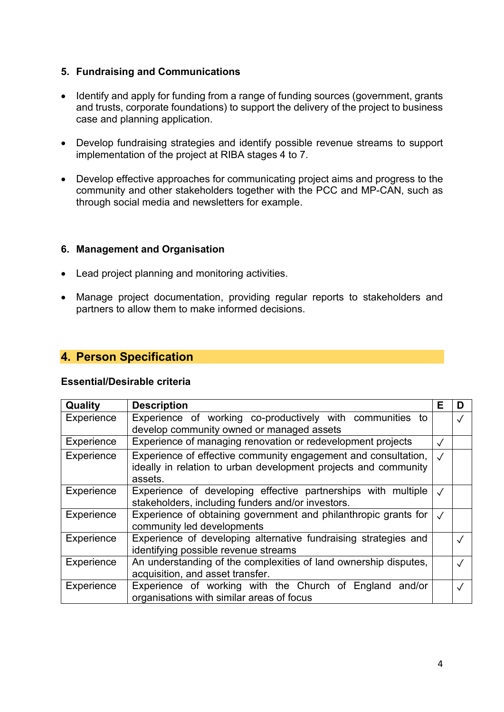## **5. Fundraising and Communications**

- Identify and apply for funding from a range of funding sources (government, grants and trusts, corporate foundations) to support the delivery of the project to business case and planning application.
- Develop fundraising strategies and identify possible revenue streams to support implementation of the project at RIBA stages 4 to 7.
- Develop effective approaches for communicating project aims and progress to the community and other stakeholders together with the PCC and MP-CAN, such as through social media and newsletters for example.

#### **6. Management and Organisation**

- Lead project planning and monitoring activities.
- Manage project documentation, providing regular reports to stakeholders and partners to allow them to make informed decisions.

## **4. Person Specification**

#### **Essential/Desirable criteria**

| <b>Quality</b> | <b>Description</b>                                               | Е          | D         |
|----------------|------------------------------------------------------------------|------------|-----------|
| Experience     | Experience of working co-productively with communities to        |            | $\sqrt{}$ |
|                | develop community owned or managed assets                        |            |           |
| Experience     | Experience of managing renovation or redevelopment projects      |            |           |
| Experience     | Experience of effective community engagement and consultation,   | $\sqrt{ }$ |           |
|                | ideally in relation to urban development projects and community  |            |           |
|                | assets.                                                          |            |           |
| Experience     | Experience of developing effective partnerships with multiple    |            |           |
|                | stakeholders, including funders and/or investors.                |            |           |
| Experience     | Experience of obtaining government and philanthropic grants for  |            |           |
|                | community led developments                                       |            |           |
| Experience     | Experience of developing alternative fundraising strategies and  |            |           |
|                | identifying possible revenue streams                             |            |           |
| Experience     | An understanding of the complexities of land ownership disputes, |            |           |
|                | acquisition, and asset transfer.                                 |            |           |
| Experience     | Experience of working with the Church of England and/or          |            |           |
|                | organisations with similar areas of focus                        |            |           |